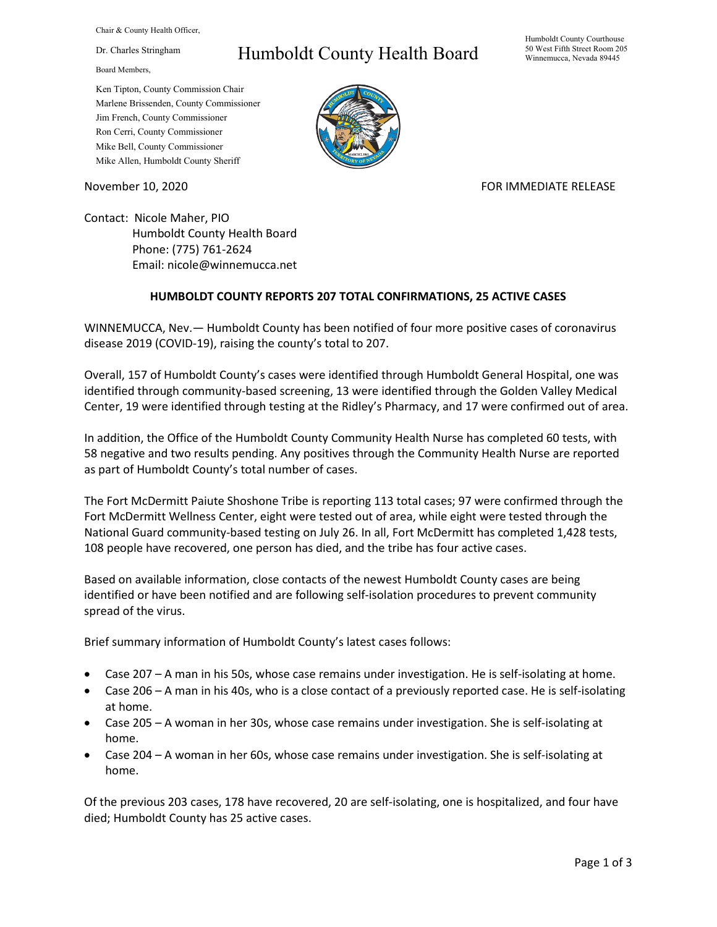Chair & County Health Officer,

Dr. Charles Stringham

Board Members,

## Humboldt County Health Board

Humboldt County Courthouse 50 West Fifth Street Room 205 Winnemucca, Nevada 89445

Ken Tipton, County Commission Chair Marlene Brissenden, County Commissioner Jim French, County Commissioner Ron Cerri, County Commissioner Mike Bell, County Commissioner Mike Allen, Humboldt County Sheriff

November 10, 2020 **FOR IMMEDIATE RELEASE** 

Contact: Nicole Maher, PIO Humboldt County Health Board Phone: (775) 761-2624 Email: nicole@winnemucca.net

## **HUMBOLDT COUNTY REPORTS 207 TOTAL CONFIRMATIONS, 25 ACTIVE CASES**

WINNEMUCCA, Nev.— Humboldt County has been notified of four more positive cases of coronavirus disease 2019 (COVID-19), raising the county's total to 207.

Overall, 157 of Humboldt County's cases were identified through Humboldt General Hospital, one was identified through community-based screening, 13 were identified through the Golden Valley Medical Center, 19 were identified through testing at the Ridley's Pharmacy, and 17 were confirmed out of area.

In addition, the Office of the Humboldt County Community Health Nurse has completed 60 tests, with 58 negative and two results pending. Any positives through the Community Health Nurse are reported as part of Humboldt County's total number of cases.

The Fort McDermitt Paiute Shoshone Tribe is reporting 113 total cases; 97 were confirmed through the Fort McDermitt Wellness Center, eight were tested out of area, while eight were tested through the National Guard community-based testing on July 26. In all, Fort McDermitt has completed 1,428 tests, 108 people have recovered, one person has died, and the tribe has four active cases.

Based on available information, close contacts of the newest Humboldt County cases are being identified or have been notified and are following self-isolation procedures to prevent community spread of the virus.

Brief summary information of Humboldt County's latest cases follows:

- Case 207 A man in his 50s, whose case remains under investigation. He is self-isolating at home.
- Case 206 A man in his 40s, who is a close contact of a previously reported case. He is self-isolating at home.
- Case 205 A woman in her 30s, whose case remains under investigation. She is self-isolating at home.
- Case 204 A woman in her 60s, whose case remains under investigation. She is self-isolating at home.

Of the previous 203 cases, 178 have recovered, 20 are self-isolating, one is hospitalized, and four have died; Humboldt County has 25 active cases.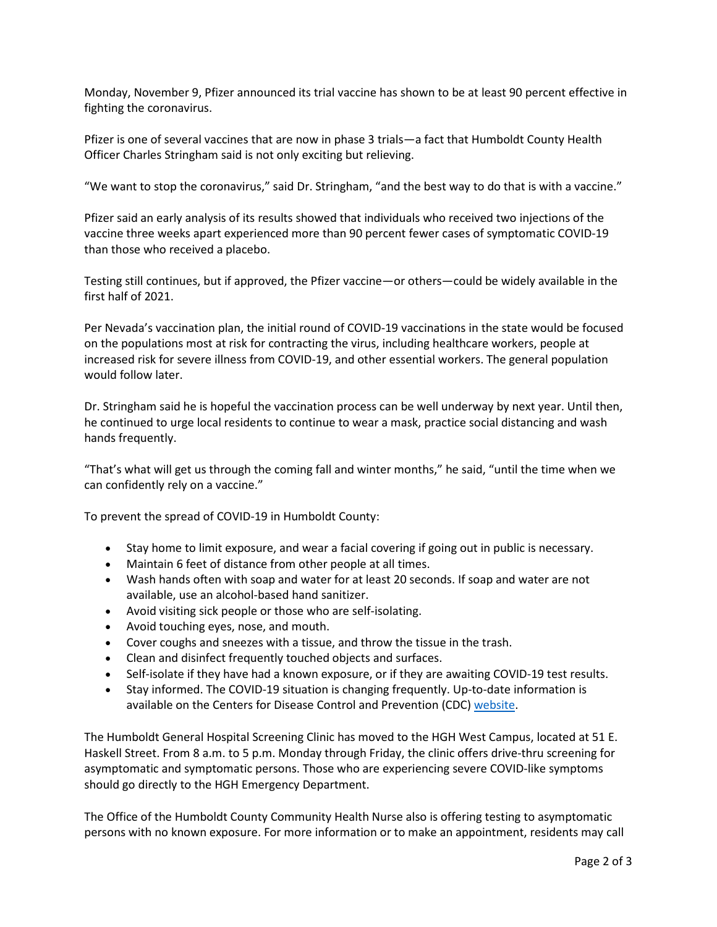Monday, November 9, Pfizer announced its trial vaccine has shown to be at least 90 percent effective in fighting the coronavirus.

Pfizer is one of several vaccines that are now in phase 3 trials—a fact that Humboldt County Health Officer Charles Stringham said is not only exciting but relieving.

"We want to stop the coronavirus," said Dr. Stringham, "and the best way to do that is with a vaccine."

Pfizer said an early analysis of its results showed that individuals who received two injections of the vaccine three weeks apart experienced more than 90 percent fewer cases of symptomatic COVID-19 than those who received a placebo.

Testing still continues, but if approved, the Pfizer vaccine—or others—could be widely available in the first half of 2021.

Per Nevada's vaccination plan, the initial round of COVID-19 vaccinations in the state would be focused on the populations most at risk for contracting the virus, including healthcare workers, people at increased risk for severe illness from COVID-19, and other essential workers. The general population would follow later.

Dr. Stringham said he is hopeful the vaccination process can be well underway by next year. Until then, he continued to urge local residents to continue to wear a mask, practice social distancing and wash hands frequently.

"That's what will get us through the coming fall and winter months," he said, "until the time when we can confidently rely on a vaccine."

To prevent the spread of COVID-19 in Humboldt County:

- Stay home to limit exposure, and wear a facial covering if going out in public is necessary.
- Maintain 6 feet of distance from other people at all times.
- Wash hands often with soap and water for at least 20 seconds. If soap and water are not available, use an alcohol-based hand sanitizer.
- Avoid visiting sick people or those who are self-isolating.
- Avoid touching eyes, nose, and mouth.
- Cover coughs and sneezes with a tissue, and throw the tissue in the trash.
- Clean and disinfect frequently touched objects and surfaces.
- Self-isolate if they have had a known exposure, or if they are awaiting COVID-19 test results.
- Stay informed. The COVID-19 situation is changing frequently. Up-to-date information is available on the Centers for Disease Control and Prevention (CDC) [website.](http://www.cdc.gov/coronavirus/2019-ncov/index.html)

The Humboldt General Hospital Screening Clinic has moved to the HGH West Campus, located at 51 E. Haskell Street. From 8 a.m. to 5 p.m. Monday through Friday, the clinic offers drive-thru screening for asymptomatic and symptomatic persons. Those who are experiencing severe COVID-like symptoms should go directly to the HGH Emergency Department.

The Office of the Humboldt County Community Health Nurse also is offering testing to asymptomatic persons with no known exposure. For more information or to make an appointment, residents may call